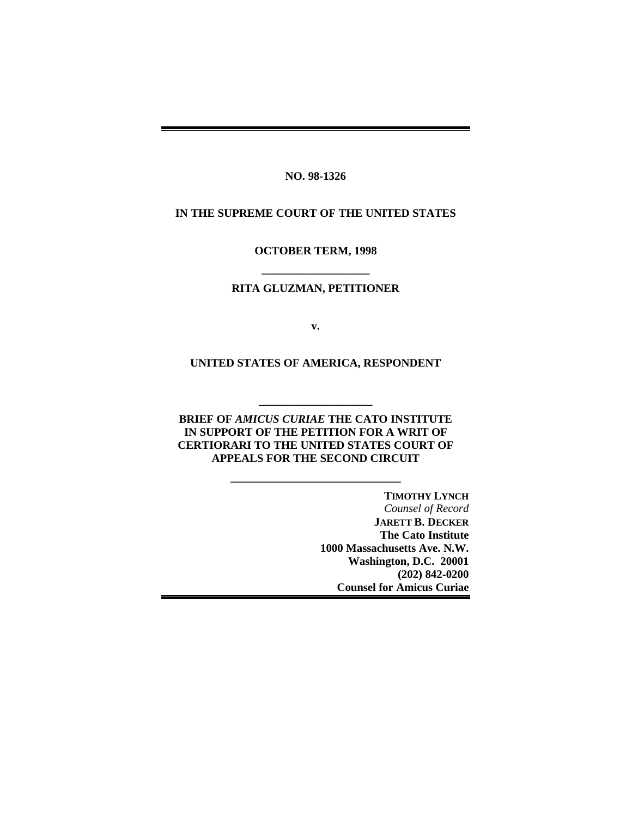**NO. 98-1326**

#### **IN THE SUPREME COURT OF THE UNITED STATES**

**OCTOBER TERM, 1998**

# **\_\_\_\_\_\_\_\_\_\_\_\_\_\_\_\_\_\_\_ RITA GLUZMAN, PETITIONER**

**v.**

**UNITED STATES OF AMERICA, RESPONDENT**

**BRIEF OF** *AMICUS CURIAE* **THE CATO INSTITUTE IN SUPPORT OF THE PETITION FOR A WRIT OF CERTIORARI TO THE UNITED STATES COURT OF APPEALS FOR THE SECOND CIRCUIT**

**\_\_\_\_\_\_\_\_\_\_\_\_\_\_\_\_\_\_\_\_\_\_\_\_\_\_\_\_\_\_**

**\_\_\_\_\_\_\_\_\_\_\_\_\_\_\_\_\_\_\_\_**

**TIMOTHY LYNCH** *Counsel of Record* **JARETT B. DECKER The Cato Institute 1000 Massachusetts Ave. N.W. Washington, D.C. 20001 (202) 842-0200 Counsel for Amicus Curiae**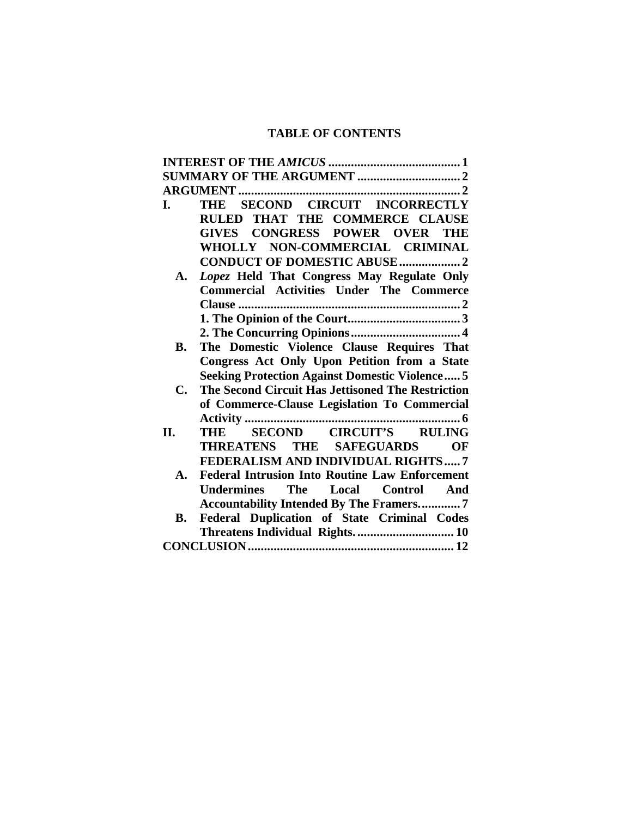# **TABLE OF CONTENTS**

| I.        | THE SECOND CIRCUIT INCORRECTLY                        |  |
|-----------|-------------------------------------------------------|--|
|           | RULED THAT THE COMMERCE CLAUSE                        |  |
|           | <b>GIVES CONGRESS POWER OVER</b><br><b>THE</b>        |  |
|           | WHOLLY NON-COMMERCIAL CRIMINAL                        |  |
|           | <b>CONDUCT OF DOMESTIC ABUSE  2</b>                   |  |
| A.        | Lopez Held That Congress May Regulate Only            |  |
|           | <b>Commercial Activities Under The Commerce</b>       |  |
|           |                                                       |  |
|           |                                                       |  |
|           |                                                       |  |
| В.        | The Domestic Violence Clause Requires That            |  |
|           | Congress Act Only Upon Petition from a State          |  |
|           | <b>Seeking Protection Against Domestic Violence 5</b> |  |
| C.        | The Second Circuit Has Jettisoned The Restriction     |  |
|           | of Commerce-Clause Legislation To Commercial          |  |
|           |                                                       |  |
| II.       | SECOND CIRCUIT'S RULING<br>THE                        |  |
|           | THREATENS THE SAFEGUARDS<br>OF                        |  |
|           | FEDERALISM AND INDIVIDUAL RIGHTS7                     |  |
| A.        | <b>Federal Intrusion Into Routine Law Enforcement</b> |  |
|           | The Local Control And<br>Undermines                   |  |
|           | <b>Accountability Intended By The Framers7</b>        |  |
| <b>B.</b> | Federal Duplication of State Criminal Codes           |  |
|           | Threatens Individual Rights.  10                      |  |
|           |                                                       |  |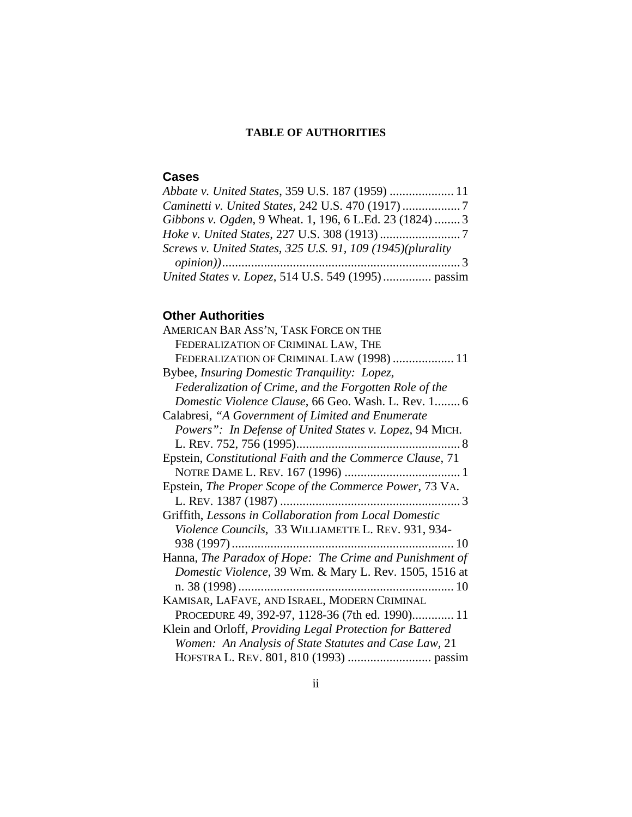# **TABLE OF AUTHORITIES**

# **Cases**

| Abbate v. United States, 359 U.S. 187 (1959)  11           |  |
|------------------------------------------------------------|--|
|                                                            |  |
| Gibbons v. Ogden, 9 Wheat. 1, 196, 6 L.Ed. 23 (1824)  3    |  |
|                                                            |  |
| Screws v. United States, 325 U.S. 91, 109 (1945)(plurality |  |
|                                                            |  |
| United States v. Lopez, 514 U.S. 549 (1995) passim         |  |

# **Other Authorities**

| AMERICAN BAR ASS'N, TASK FORCE ON THE                     |
|-----------------------------------------------------------|
| FEDERALIZATION OF CRIMINAL LAW, THE                       |
| FEDERALIZATION OF CRIMINAL LAW (1998)  11                 |
| Bybee, Insuring Domestic Tranquility: Lopez,              |
| Federalization of Crime, and the Forgotten Role of the    |
| Domestic Violence Clause, 66 Geo. Wash. L. Rev. 1 6       |
| Calabresi, "A Government of Limited and Enumerate         |
| Powers": In Defense of United States v. Lopez, 94 MICH.   |
|                                                           |
| Epstein, Constitutional Faith and the Commerce Clause, 71 |
|                                                           |
| Epstein, The Proper Scope of the Commerce Power, 73 VA.   |
|                                                           |
| Griffith, Lessons in Collaboration from Local Domestic    |
| Violence Councils, 33 WILLIAMETTE L. REV. 931, 934-       |
|                                                           |
| Hanna, The Paradox of Hope: The Crime and Punishment of   |
| Domestic Violence, 39 Wm. & Mary L. Rev. 1505, 1516 at    |
|                                                           |
| KAMISAR, LAFAVE, AND ISRAEL, MODERN CRIMINAL              |
| PROCEDURE 49, 392-97, 1128-36 (7th ed. 1990) 11           |
| Klein and Orloff, Providing Legal Protection for Battered |
| Women: An Analysis of State Statutes and Case Law, 21     |
|                                                           |
|                                                           |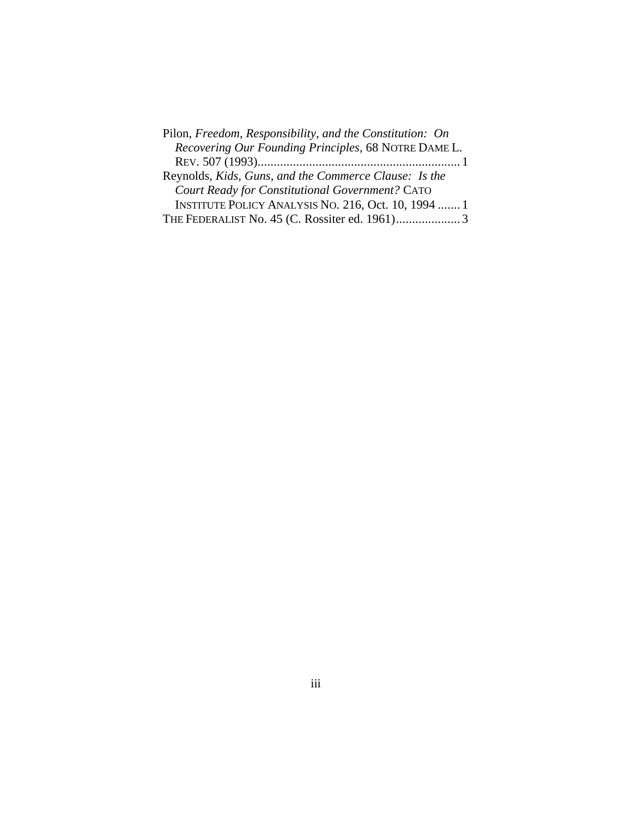| Pilon, Freedom, Responsibility, and the Constitution: On |
|----------------------------------------------------------|
| Recovering Our Founding Principles, 68 NOTRE DAME L.     |
|                                                          |
| Reynolds, Kids, Guns, and the Commerce Clause: Is the    |
| Court Ready for Constitutional Government? CATO          |
| INSTITUTE POLICY ANALYSIS NO. 216, Oct. 10, 1994  1      |
|                                                          |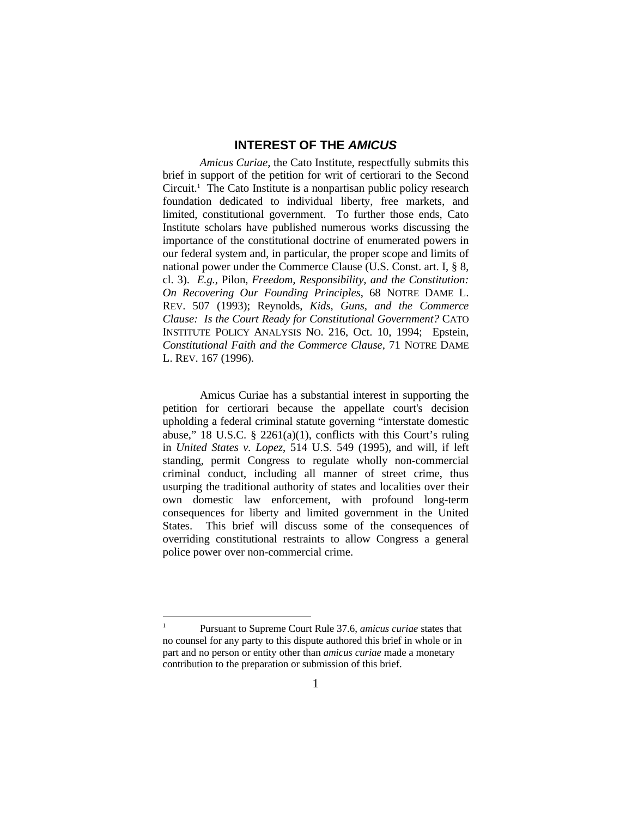### **INTEREST OF THE** *AMICUS*

*Amicus Curiae*, the Cato Institute, respectfully submits this brief in support of the petition for writ of certiorari to the Second Circuit.<sup>1</sup> The Cato Institute is a nonpartisan public policy research foundation dedicated to individual liberty, free markets, and limited, constitutional government. To further those ends, Cato Institute scholars have published numerous works discussing the importance of the constitutional doctrine of enumerated powers in our federal system and, in particular, the proper scope and limits of national power under the Commerce Clause (U.S. Const. art. I, § 8, cl. 3). *E.g.*, Pilon, *Freedom, Responsibility, and the Constitution: On Recovering Our Founding Principles*, 68 NOTRE DAME L. REV. 507 (1993); Reynolds, *Kids, Guns, and the Commerce Clause: Is the Court Ready for Constitutional Government?* CATO INSTITUTE POLICY ANALYSIS NO. 216, Oct. 10, 1994; Epstein, *Constitutional Faith and the Commerce Clause*, 71 NOTRE DAME L. REV. 167 (1996).

Amicus Curiae has a substantial interest in supporting the petition for certiorari because the appellate court's decision upholding a federal criminal statute governing "interstate domestic abuse," 18 U.S.C.  $\S$  2261(a)(1), conflicts with this Court's ruling in *United States v. Lopez*, 514 U.S. 549 (1995), and will, if left standing, permit Congress to regulate wholly non-commercial criminal conduct, including all manner of street crime, thus usurping the traditional authority of states and localities over their own domestic law enforcement, with profound long-term consequences for liberty and limited government in the United States. This brief will discuss some of the consequences of overriding constitutional restraints to allow Congress a general police power over non-commercial crime.

 $\overline{a}$ 

<sup>1</sup> Pursuant to Supreme Court Rule 37.6, *amicus curiae* states that no counsel for any party to this dispute authored this brief in whole or in part and no person or entity other than *amicus curiae* made a monetary contribution to the preparation or submission of this brief.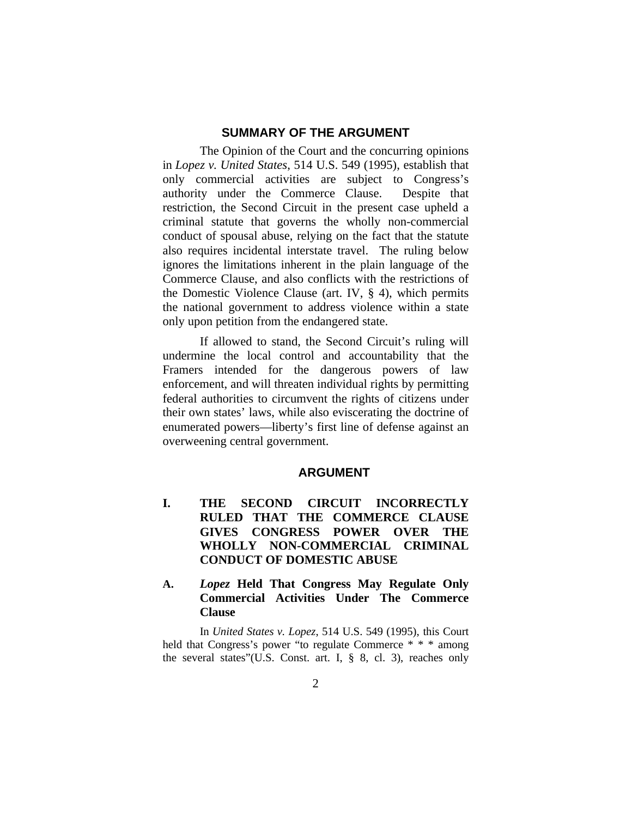### **SUMMARY OF THE ARGUMENT**

The Opinion of the Court and the concurring opinions in *Lopez v. United States*, 514 U.S. 549 (1995), establish that only commercial activities are subject to Congress's authority under the Commerce Clause. Despite that restriction, the Second Circuit in the present case upheld a criminal statute that governs the wholly non-commercial conduct of spousal abuse, relying on the fact that the statute also requires incidental interstate travel. The ruling below ignores the limitations inherent in the plain language of the Commerce Clause, and also conflicts with the restrictions of the Domestic Violence Clause (art. IV, § 4), which permits the national government to address violence within a state only upon petition from the endangered state.

If allowed to stand, the Second Circuit's ruling will undermine the local control and accountability that the Framers intended for the dangerous powers of law enforcement, and will threaten individual rights by permitting federal authorities to circumvent the rights of citizens under their own states' laws, while also eviscerating the doctrine of enumerated powers—liberty's first line of defense against an overweening central government.

#### **ARGUMENT**

- **I. THE SECOND CIRCUIT INCORRECTLY RULED THAT THE COMMERCE CLAUSE GIVES CONGRESS POWER OVER THE WHOLLY NON-COMMERCIAL CRIMINAL CONDUCT OF DOMESTIC ABUSE**
- **A.** *Lopez* **Held That Congress May Regulate Only Commercial Activities Under The Commerce Clause**

In *United States v. Lopez*, 514 U.S. 549 (1995), this Court held that Congress's power "to regulate Commerce  $* * *$  among the several states"(U.S. Const. art. I, § 8, cl. 3), reaches only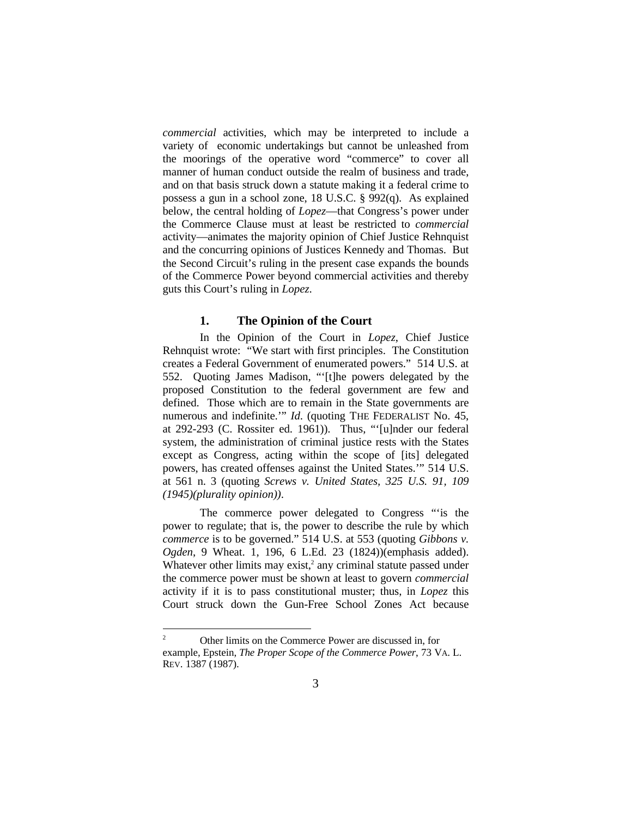*commercial* activities, which may be interpreted to include a variety of economic undertakings but cannot be unleashed from the moorings of the operative word "commerce" to cover all manner of human conduct outside the realm of business and trade, and on that basis struck down a statute making it a federal crime to possess a gun in a school zone, 18 U.S.C. § 992(q). As explained below, the central holding of *Lopez*—that Congress's power under the Commerce Clause must at least be restricted to *commercial* activity—animates the majority opinion of Chief Justice Rehnquist and the concurring opinions of Justices Kennedy and Thomas. But the Second Circuit's ruling in the present case expands the bounds of the Commerce Power beyond commercial activities and thereby guts this Court's ruling in *Lopez*.

#### **1. The Opinion of the Court**

In the Opinion of the Court in *Lopez*, Chief Justice Rehnquist wrote: "We start with first principles. The Constitution creates a Federal Government of enumerated powers." 514 U.S. at 552. Quoting James Madison, "'[t]he powers delegated by the proposed Constitution to the federal government are few and defined. Those which are to remain in the State governments are numerous and indefinite.'" *Id.* (quoting THE FEDERALIST No. 45, at 292-293 (C. Rossiter ed. 1961)). Thus, "'[u]nder our federal system, the administration of criminal justice rests with the States except as Congress, acting within the scope of [its] delegated powers, has created offenses against the United States.'" 514 U.S. at 561 n. 3 (quoting *Screws v. United States, 325 U.S. 91, 109 (1945)(plurality opinion))*.

The commerce power delegated to Congress "'is the power to regulate; that is, the power to describe the rule by which *commerce* is to be governed." 514 U.S. at 553 (quoting *Gibbons v. Ogden*, 9 Wheat. 1, 196, 6 L.Ed. 23 (1824))(emphasis added). Whatever other limits may exist, $2$  any criminal statute passed under the commerce power must be shown at least to govern *commercial* activity if it is to pass constitutional muster; thus, in *Lopez* this Court struck down the Gun-Free School Zones Act because

 $\overline{c}$ <sup>2</sup> Other limits on the Commerce Power are discussed in, for example, Epstein, *The Proper Scope of the Commerce Power*, 73 VA. L. REV. 1387 (1987).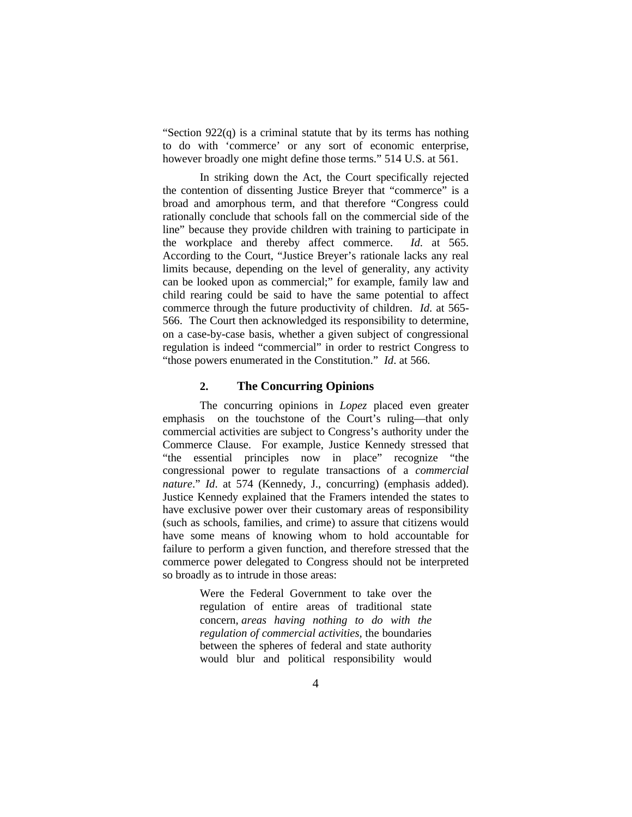"Section  $922(q)$  is a criminal statute that by its terms has nothing to do with 'commerce' or any sort of economic enterprise, however broadly one might define those terms." 514 U.S. at 561.

In striking down the Act, the Court specifically rejected the contention of dissenting Justice Breyer that "commerce" is a broad and amorphous term, and that therefore "Congress could rationally conclude that schools fall on the commercial side of the line" because they provide children with training to participate in the workplace and thereby affect commerce. *Id*. at 565. According to the Court, "Justice Breyer's rationale lacks any real limits because, depending on the level of generality, any activity can be looked upon as commercial;" for example, family law and child rearing could be said to have the same potential to affect commerce through the future productivity of children. *Id*. at 565- 566. The Court then acknowledged its responsibility to determine, on a case-by-case basis, whether a given subject of congressional regulation is indeed "commercial" in order to restrict Congress to "those powers enumerated in the Constitution." *Id*. at 566.

### **2. The Concurring Opinions**

The concurring opinions in *Lopez* placed even greater emphasis on the touchstone of the Court's ruling—that only commercial activities are subject to Congress's authority under the Commerce Clause. For example, Justice Kennedy stressed that "the essential principles now in place" recognize "the congressional power to regulate transactions of a *commercial nature*." *Id*. at 574 (Kennedy, J., concurring) (emphasis added). Justice Kennedy explained that the Framers intended the states to have exclusive power over their customary areas of responsibility (such as schools, families, and crime) to assure that citizens would have some means of knowing whom to hold accountable for failure to perform a given function, and therefore stressed that the commerce power delegated to Congress should not be interpreted so broadly as to intrude in those areas:

> Were the Federal Government to take over the regulation of entire areas of traditional state concern, *areas having nothing to do with the regulation of commercial activities,* the boundaries between the spheres of federal and state authority would blur and political responsibility would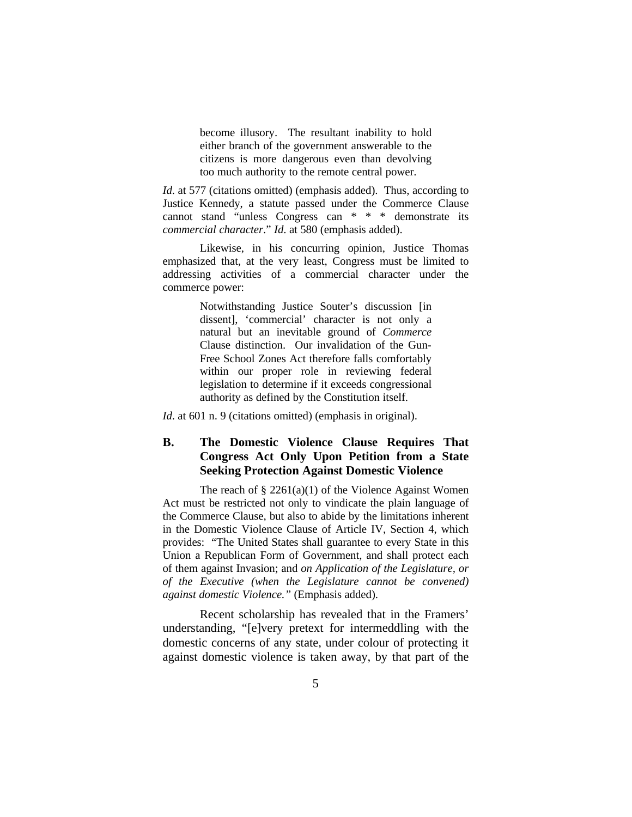become illusory. The resultant inability to hold either branch of the government answerable to the citizens is more dangerous even than devolving too much authority to the remote central power.

*Id.* at 577 (citations omitted) (emphasis added). Thus, according to Justice Kennedy, a statute passed under the Commerce Clause cannot stand "unless Congress can \* \* \* demonstrate its *commercial character*." *Id*. at 580 (emphasis added).

Likewise, in his concurring opinion, Justice Thomas emphasized that, at the very least, Congress must be limited to addressing activities of a commercial character under the commerce power:

> Notwithstanding Justice Souter's discussion [in dissent], 'commercial' character is not only a natural but an inevitable ground of *Commerce* Clause distinction. Our invalidation of the Gun-Free School Zones Act therefore falls comfortably within our proper role in reviewing federal legislation to determine if it exceeds congressional authority as defined by the Constitution itself.

*Id.* at 601 n. 9 (citations omitted) (emphasis in original).

## **B. The Domestic Violence Clause Requires That Congress Act Only Upon Petition from a State Seeking Protection Against Domestic Violence**

The reach of  $\S 2261(a)(1)$  of the Violence Against Women Act must be restricted not only to vindicate the plain language of the Commerce Clause, but also to abide by the limitations inherent in the Domestic Violence Clause of Article IV, Section 4, which provides: "The United States shall guarantee to every State in this Union a Republican Form of Government, and shall protect each of them against Invasion; and *on Application of the Legislature, or of the Executive (when the Legislature cannot be convened) against domestic Violence."* (Emphasis added).

Recent scholarship has revealed that in the Framers' understanding, "[e]very pretext for intermeddling with the domestic concerns of any state, under colour of protecting it against domestic violence is taken away, by that part of the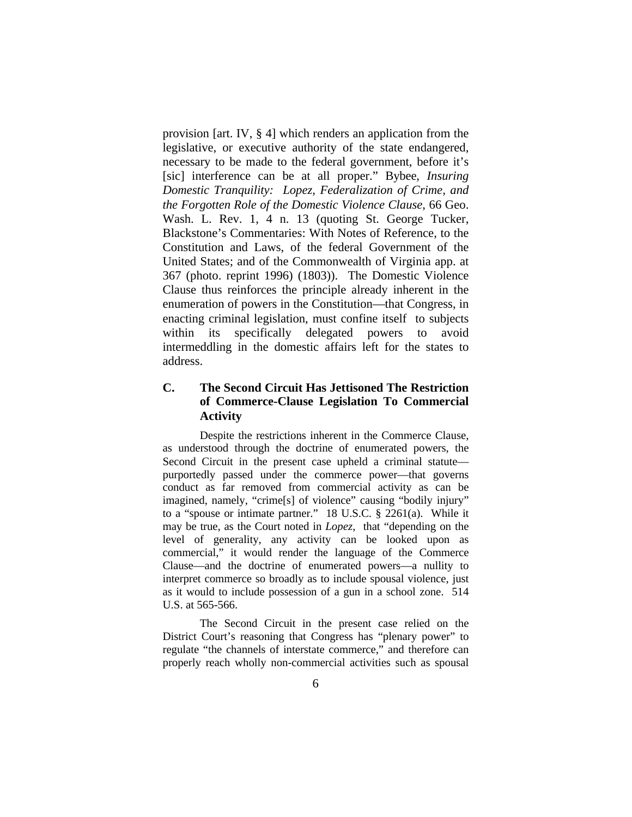provision [art. IV, § 4] which renders an application from the legislative, or executive authority of the state endangered, necessary to be made to the federal government, before it's [sic] interference can be at all proper." Bybee, *Insuring Domestic Tranquility: Lopez, Federalization of Crime, and the Forgotten Role of the Domestic Violence Clause*, 66 Geo. Wash. L. Rev. 1, 4 n. 13 (quoting St. George Tucker, Blackstone's Commentaries: With Notes of Reference, to the Constitution and Laws, of the federal Government of the United States; and of the Commonwealth of Virginia app. at 367 (photo. reprint 1996) (1803)). The Domestic Violence Clause thus reinforces the principle already inherent in the enumeration of powers in the Constitution—that Congress, in enacting criminal legislation, must confine itself to subjects within its specifically delegated powers to avoid intermeddling in the domestic affairs left for the states to address.

## **C. The Second Circuit Has Jettisoned The Restriction of Commerce-Clause Legislation To Commercial Activity**

Despite the restrictions inherent in the Commerce Clause, as understood through the doctrine of enumerated powers, the Second Circuit in the present case upheld a criminal statute purportedly passed under the commerce power—that governs conduct as far removed from commercial activity as can be imagined, namely, "crime[s] of violence" causing "bodily injury" to a "spouse or intimate partner." 18 U.S.C. § 2261(a). While it may be true, as the Court noted in *Lopez*, that "depending on the level of generality, any activity can be looked upon as commercial," it would render the language of the Commerce Clause—and the doctrine of enumerated powers—a nullity to interpret commerce so broadly as to include spousal violence, just as it would to include possession of a gun in a school zone. 514 U.S. at 565-566.

The Second Circuit in the present case relied on the District Court's reasoning that Congress has "plenary power" to regulate "the channels of interstate commerce," and therefore can properly reach wholly non-commercial activities such as spousal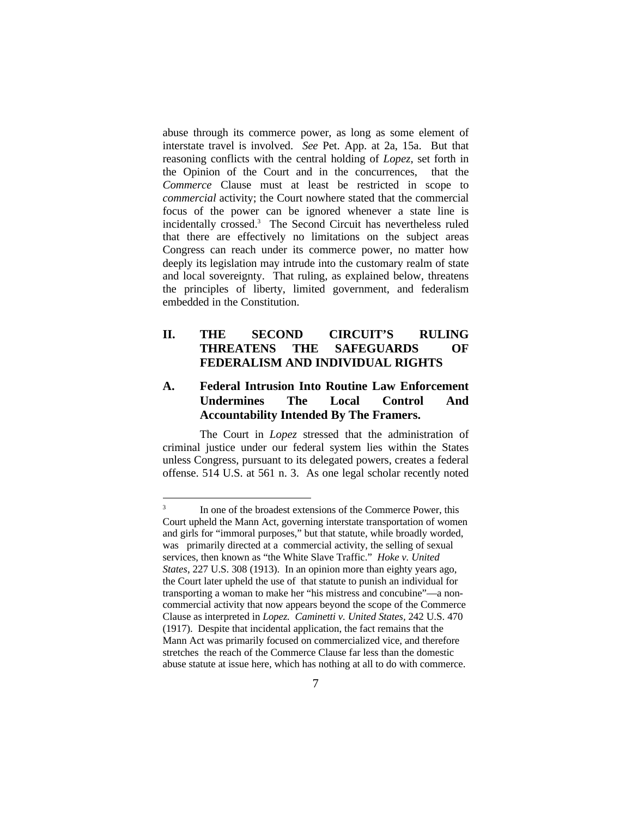abuse through its commerce power, as long as some element of interstate travel is involved. *See* Pet. App. at 2a, 15a. But that reasoning conflicts with the central holding of *Lopez*, set forth in the Opinion of the Court and in the concurrences, that the *Commerce* Clause must at least be restricted in scope to *commercial* activity; the Court nowhere stated that the commercial focus of the power can be ignored whenever a state line is incidentally crossed.<sup>3</sup> The Second Circuit has nevertheless ruled that there are effectively no limitations on the subject areas Congress can reach under its commerce power, no matter how deeply its legislation may intrude into the customary realm of state and local sovereignty. That ruling, as explained below, threatens the principles of liberty, limited government, and federalism embedded in the Constitution.

## **II. THE SECOND CIRCUIT'S RULING THREATENS THE SAFEGUARDS OF FEDERALISM AND INDIVIDUAL RIGHTS**

### **A. Federal Intrusion Into Routine Law Enforcement Undermines The Local Control And Accountability Intended By The Framers.**

The Court in *Lopez* stressed that the administration of criminal justice under our federal system lies within the States unless Congress, pursuant to its delegated powers, creates a federal offense. 514 U.S. at 561 n. 3. As one legal scholar recently noted

<sup>&</sup>lt;sup>2</sup><br>3 In one of the broadest extensions of the Commerce Power, this Court upheld the Mann Act, governing interstate transportation of women and girls for "immoral purposes," but that statute, while broadly worded, was primarily directed at a commercial activity, the selling of sexual services, then known as "the White Slave Traffic." *Hoke v. United States*, 227 U.S. 308 (1913). In an opinion more than eighty years ago, the Court later upheld the use of that statute to punish an individual for transporting a woman to make her "his mistress and concubine"—a noncommercial activity that now appears beyond the scope of the Commerce Clause as interpreted in *Lopez. Caminetti v. United States,* 242 U.S. 470 (1917). Despite that incidental application, the fact remains that the Mann Act was primarily focused on commercialized vice, and therefore stretches the reach of the Commerce Clause far less than the domestic abuse statute at issue here, which has nothing at all to do with commerce.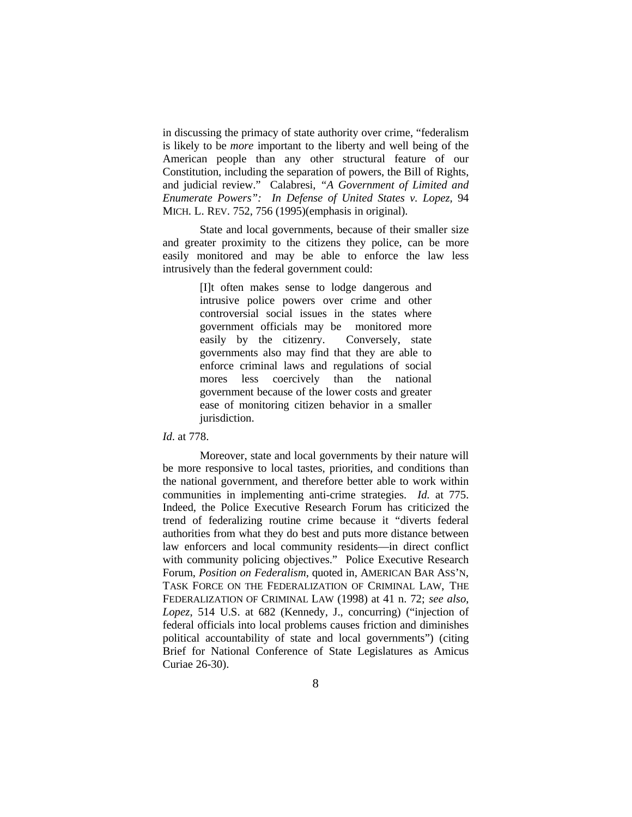in discussing the primacy of state authority over crime, "federalism is likely to be *more* important to the liberty and well being of the American people than any other structural feature of our Constitution, including the separation of powers, the Bill of Rights, and judicial review." Calabresi, *"A Government of Limited and Enumerate Powers": In Defense of United States v. Lopez,* 94 MICH. L. REV. 752, 756 (1995)(emphasis in original).

State and local governments, because of their smaller size and greater proximity to the citizens they police, can be more easily monitored and may be able to enforce the law less intrusively than the federal government could:

> [I]t often makes sense to lodge dangerous and intrusive police powers over crime and other controversial social issues in the states where government officials may be monitored more easily by the citizenry. Conversely, state governments also may find that they are able to enforce criminal laws and regulations of social mores less coercively than the national government because of the lower costs and greater ease of monitoring citizen behavior in a smaller jurisdiction.

#### *Id*. at 778.

Moreover, state and local governments by their nature will be more responsive to local tastes, priorities, and conditions than the national government, and therefore better able to work within communities in implementing anti-crime strategies. *Id.* at 775. Indeed, the Police Executive Research Forum has criticized the trend of federalizing routine crime because it "diverts federal authorities from what they do best and puts more distance between law enforcers and local community residents—in direct conflict with community policing objectives." Police Executive Research Forum, *Position on Federalism*, quoted in, AMERICAN BAR ASS'N, TASK FORCE ON THE FEDERALIZATION OF CRIMINAL LAW, THE FEDERALIZATION OF CRIMINAL LAW (1998) at 41 n. 72; *see also*, *Lopez*, 514 U.S. at 682 (Kennedy, J., concurring) ("injection of federal officials into local problems causes friction and diminishes political accountability of state and local governments") (citing Brief for National Conference of State Legislatures as Amicus Curiae 26-30).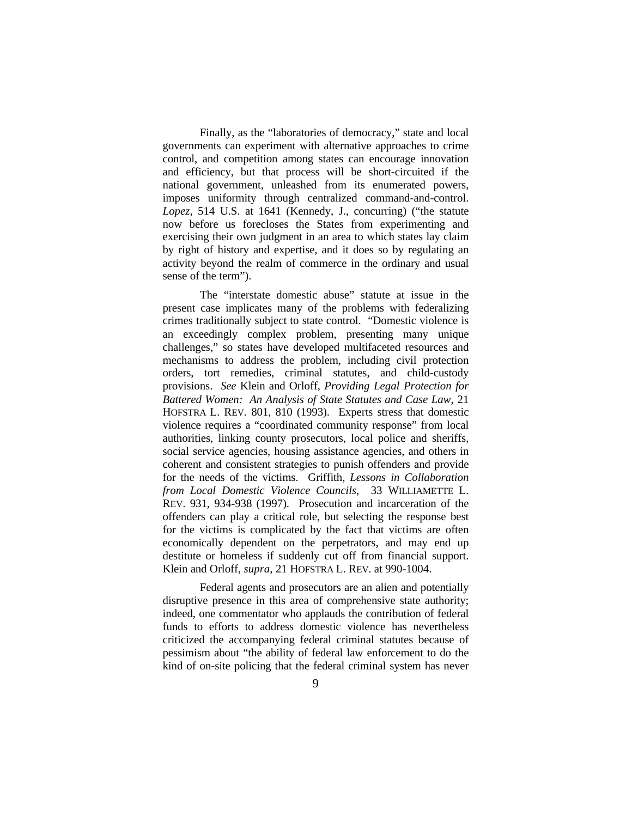Finally, as the "laboratories of democracy," state and local governments can experiment with alternative approaches to crime control, and competition among states can encourage innovation and efficiency, but that process will be short-circuited if the national government, unleashed from its enumerated powers, imposes uniformity through centralized command-and-control. *Lopez*, 514 U.S. at 1641 (Kennedy, J., concurring) ("the statute now before us forecloses the States from experimenting and exercising their own judgment in an area to which states lay claim by right of history and expertise, and it does so by regulating an activity beyond the realm of commerce in the ordinary and usual sense of the term").

The "interstate domestic abuse" statute at issue in the present case implicates many of the problems with federalizing crimes traditionally subject to state control. "Domestic violence is an exceedingly complex problem, presenting many unique challenges," so states have developed multifaceted resources and mechanisms to address the problem, including civil protection orders, tort remedies, criminal statutes, and child-custody provisions. *See* Klein and Orloff, *Providing Legal Protection for Battered Women: An Analysis of State Statutes and Case Law,* 21 HOFSTRA L. REV. 801, 810 (1993). Experts stress that domestic violence requires a "coordinated community response" from local authorities, linking county prosecutors, local police and sheriffs, social service agencies, housing assistance agencies, and others in coherent and consistent strategies to punish offenders and provide for the needs of the victims. Griffith, *Lessons in Collaboration from Local Domestic Violence Councils*, 33 WILLIAMETTE L. REV. 931, 934-938 (1997). Prosecution and incarceration of the offenders can play a critical role, but selecting the response best for the victims is complicated by the fact that victims are often economically dependent on the perpetrators, and may end up destitute or homeless if suddenly cut off from financial support. Klein and Orloff, *supra*, 21 HOFSTRA L. REV. at 990-1004.

Federal agents and prosecutors are an alien and potentially disruptive presence in this area of comprehensive state authority; indeed, one commentator who applauds the contribution of federal funds to efforts to address domestic violence has nevertheless criticized the accompanying federal criminal statutes because of pessimism about "the ability of federal law enforcement to do the kind of on-site policing that the federal criminal system has never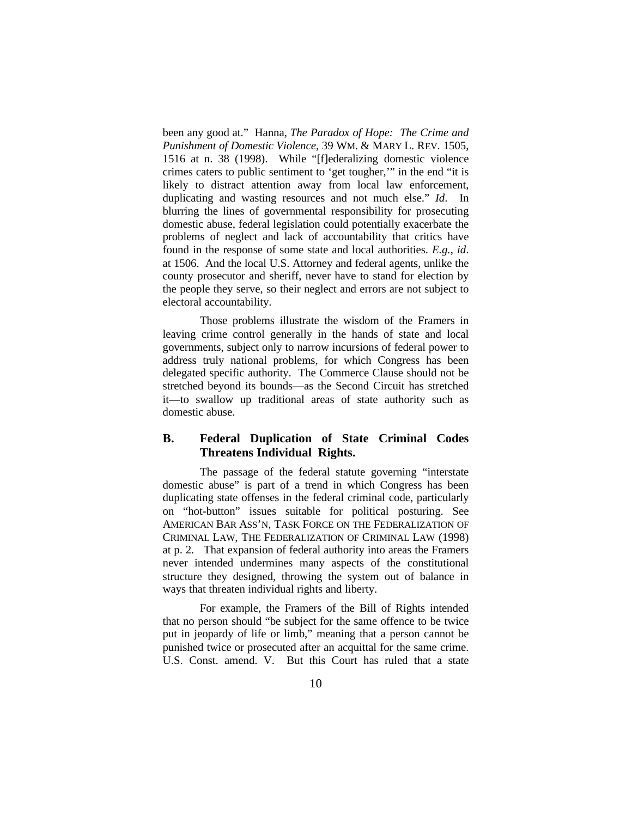been any good at." Hanna, *The Paradox of Hope: The Crime and Punishment of Domestic Violence*, 39 WM. & MARY L. REV. 1505, 1516 at n. 38 (1998). While "[f]ederalizing domestic violence crimes caters to public sentiment to 'get tougher,'" in the end "it is likely to distract attention away from local law enforcement, duplicating and wasting resources and not much else." *Id*. In blurring the lines of governmental responsibility for prosecuting domestic abuse, federal legislation could potentially exacerbate the problems of neglect and lack of accountability that critics have found in the response of some state and local authorities. *E.g.*, *id*. at 1506. And the local U.S. Attorney and federal agents, unlike the county prosecutor and sheriff, never have to stand for election by the people they serve, so their neglect and errors are not subject to electoral accountability.

Those problems illustrate the wisdom of the Framers in leaving crime control generally in the hands of state and local governments, subject only to narrow incursions of federal power to address truly national problems, for which Congress has been delegated specific authority. The Commerce Clause should not be stretched beyond its bounds—as the Second Circuit has stretched it—to swallow up traditional areas of state authority such as domestic abuse.

### **B. Federal Duplication of State Criminal Codes Threatens Individual Rights.**

The passage of the federal statute governing "interstate domestic abuse" is part of a trend in which Congress has been duplicating state offenses in the federal criminal code, particularly on "hot-button" issues suitable for political posturing. See AMERICAN BAR ASS'N, TASK FORCE ON THE FEDERALIZATION OF CRIMINAL LAW, THE FEDERALIZATION OF CRIMINAL LAW (1998) at p. 2. That expansion of federal authority into areas the Framers never intended undermines many aspects of the constitutional structure they designed, throwing the system out of balance in ways that threaten individual rights and liberty.

For example, the Framers of the Bill of Rights intended that no person should "be subject for the same offence to be twice put in jeopardy of life or limb," meaning that a person cannot be punished twice or prosecuted after an acquittal for the same crime. U.S. Const. amend. V. But this Court has ruled that a state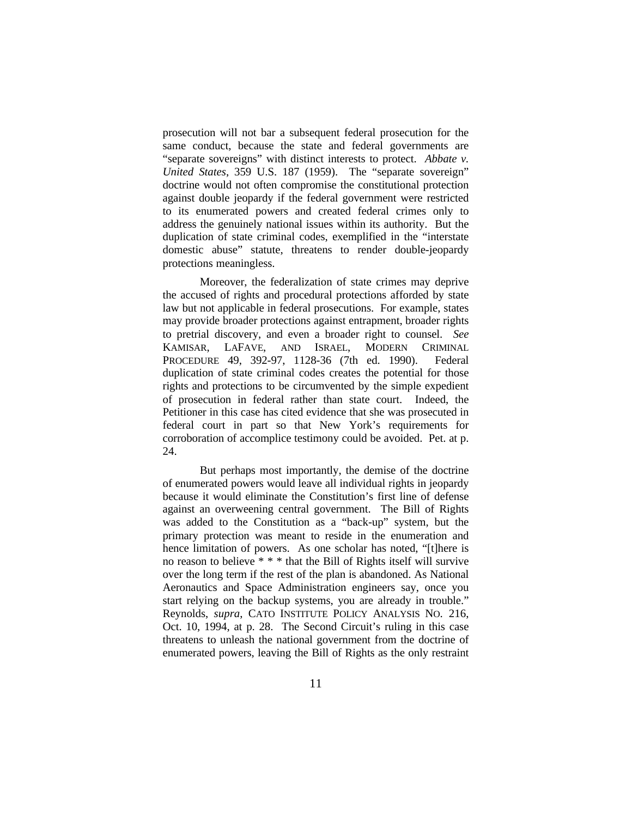prosecution will not bar a subsequent federal prosecution for the same conduct, because the state and federal governments are "separate sovereigns" with distinct interests to protect. *Abbate v. United States*, 359 U.S. 187 (1959). The "separate sovereign" doctrine would not often compromise the constitutional protection against double jeopardy if the federal government were restricted to its enumerated powers and created federal crimes only to address the genuinely national issues within its authority. But the duplication of state criminal codes, exemplified in the "interstate domestic abuse" statute, threatens to render double-jeopardy protections meaningless.

Moreover, the federalization of state crimes may deprive the accused of rights and procedural protections afforded by state law but not applicable in federal prosecutions. For example, states may provide broader protections against entrapment, broader rights to pretrial discovery, and even a broader right to counsel. *See* KAMISAR, LAFAVE, AND ISRAEL, MODERN CRIMINAL PROCEDURE 49, 392-97, 1128-36 (7th ed. 1990). Federal duplication of state criminal codes creates the potential for those rights and protections to be circumvented by the simple expedient of prosecution in federal rather than state court. Indeed, the Petitioner in this case has cited evidence that she was prosecuted in federal court in part so that New York's requirements for corroboration of accomplice testimony could be avoided. Pet. at p. 24.

But perhaps most importantly, the demise of the doctrine of enumerated powers would leave all individual rights in jeopardy because it would eliminate the Constitution's first line of defense against an overweening central government. The Bill of Rights was added to the Constitution as a "back-up" system, but the primary protection was meant to reside in the enumeration and hence limitation of powers. As one scholar has noted, "[t]here is no reason to believe \* \* \* that the Bill of Rights itself will survive over the long term if the rest of the plan is abandoned. As National Aeronautics and Space Administration engineers say, once you start relying on the backup systems, you are already in trouble." Reynolds, *supra*, CATO INSTITUTE POLICY ANALYSIS NO. 216, Oct. 10, 1994, at p. 28. The Second Circuit's ruling in this case threatens to unleash the national government from the doctrine of enumerated powers, leaving the Bill of Rights as the only restraint